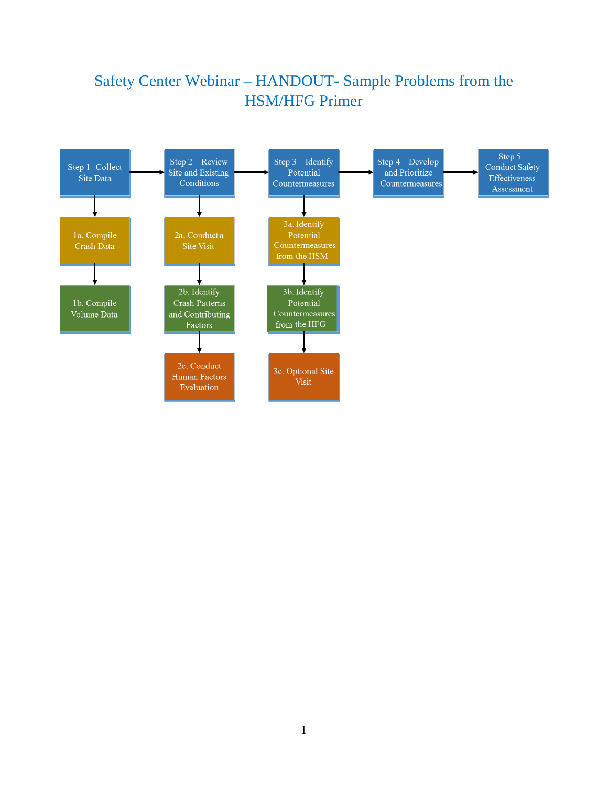## Safety Center Webinar – HANDOUT- Sample Problems from the HSM/HFG Primer

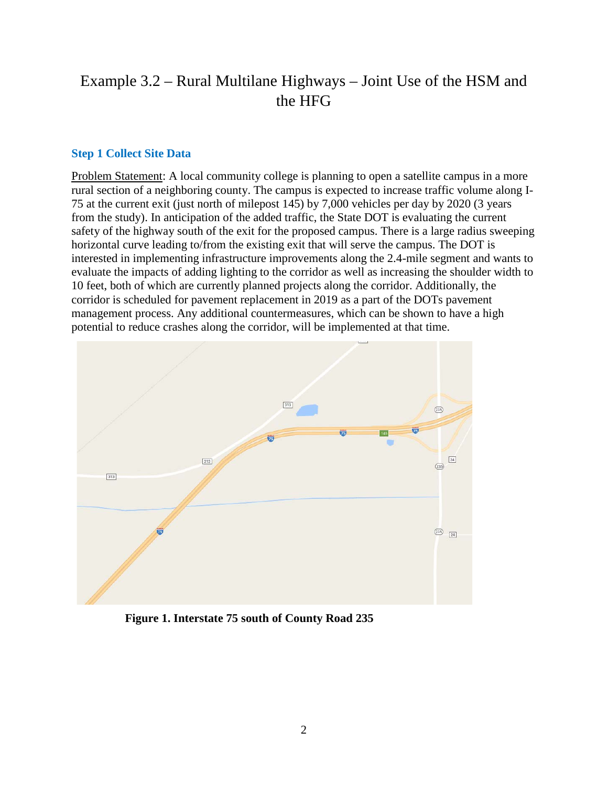## Example 3.2 – Rural Multilane Highways – Joint Use of the HSM and the HFG

#### **Step 1 Collect Site Data**

Problem Statement: A local community college is planning to open a satellite campus in a more rural section of a neighboring county. The campus is expected to increase traffic volume along I-75 at the current exit (just north of milepost 145) by 7,000 vehicles per day by 2020 (3 years from the study). In anticipation of the added traffic, the State DOT is evaluating the current safety of the highway south of the exit for the proposed campus. There is a large radius sweeping horizontal curve leading to/from the existing exit that will serve the campus. The DOT is interested in implementing infrastructure improvements along the 2.4-mile segment and wants to evaluate the impacts of adding lighting to the corridor as well as increasing the shoulder width to 10 feet, both of which are currently planned projects along the corridor. Additionally, the corridor is scheduled for pavement replacement in 2019 as a part of the DOTs pavement management process. Any additional countermeasures, which can be shown to have a high potential to reduce crashes along the corridor, will be implemented at that time.



**Figure 1. Interstate 75 south of County Road 235**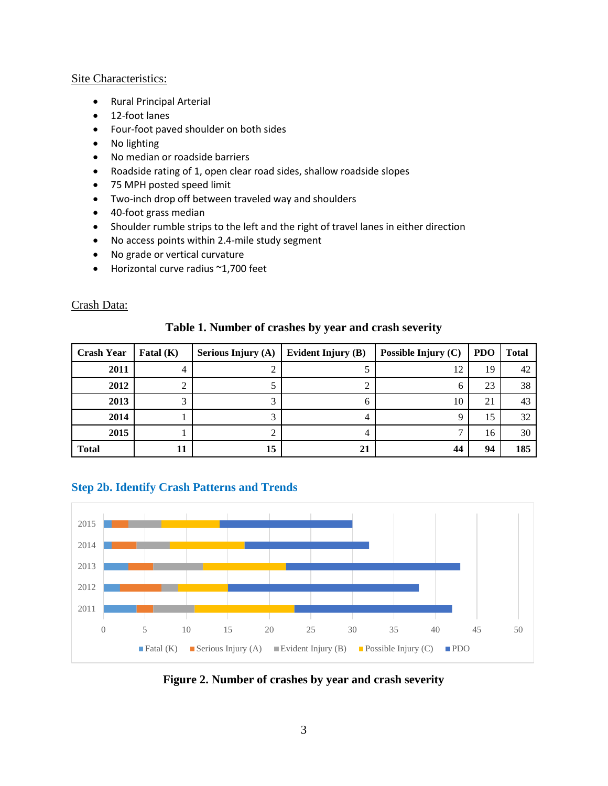#### Site Characteristics:

- Rural Principal Arterial
- 12-foot lanes
- Four-foot paved shoulder on both sides
- No lighting
- No median or roadside barriers
- Roadside rating of 1, open clear road sides, shallow roadside slopes
- 75 MPH posted speed limit
- Two-inch drop off between traveled way and shoulders
- 40-foot grass median
- Shoulder rumble strips to the left and the right of travel lanes in either direction
- No access points within 2.4-mile study segment
- No grade or vertical curvature
- Horizontal curve radius ~1,700 feet

#### Crash Data:

| <b>Crash Year</b> | Fatal $(K)$ | <b>Serious Injury (A)</b> | Evident Injury (B) | Possible Injury (C) | <b>PDO</b> | <b>Total</b> |
|-------------------|-------------|---------------------------|--------------------|---------------------|------------|--------------|
| 2011              |             |                           |                    | 12                  | 19         | 42           |
| 2012              |             |                           |                    | O                   | 23         | 38           |
| 2013              |             | ◠                         |                    | 10                  | 21         | 43           |
| 2014              |             | ⌒                         |                    | Ч                   | 15         | 32           |
| 2015              |             |                           |                    |                     | 16         | 30           |
| <b>Total</b>      |             | 15                        | 21                 | 44                  | 94         | 185          |

### **Table 1. Number of crashes by year and crash severity**

#### **Step 2b. Identify Crash Patterns and Trends**



**Figure 2. Number of crashes by year and crash severity**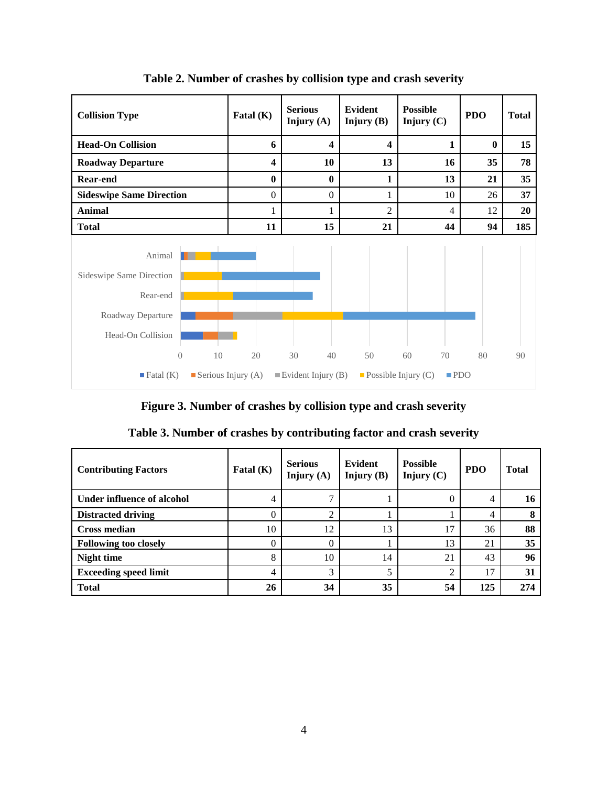

**Table 2. Number of crashes by collision type and crash severity**

**Figure 3. Number of crashes by collision type and crash severity**

| <b>Contributing Factors</b>  | Fatal $(K)$    | <b>Serious</b><br>Injury $(A)$ | Evident<br>Injury $(B)$ | <b>Possible</b><br>Injury $(C)$ | <b>PDO</b> | <b>Total</b> |
|------------------------------|----------------|--------------------------------|-------------------------|---------------------------------|------------|--------------|
| Under influence of alcohol   | 4              |                                |                         |                                 | 4          | 16           |
| <b>Distracted driving</b>    | 0              | ↑                              |                         |                                 | 4          | 8            |
| <b>Cross median</b>          | 10             | 12                             | 13                      | 17                              | 36         | 88           |
| <b>Following too closely</b> | 0              |                                |                         | 13                              | 21         | 35           |
| <b>Night time</b>            | 8              | 10                             | 14                      | 21                              | 43         | 96           |
| <b>Exceeding speed limit</b> | $\overline{4}$ | 3                              | 5                       | $\mathcal{D}$                   | 17         | 31           |
| <b>Total</b>                 | 26             | 34                             | 35                      | 54                              | 125        | 274          |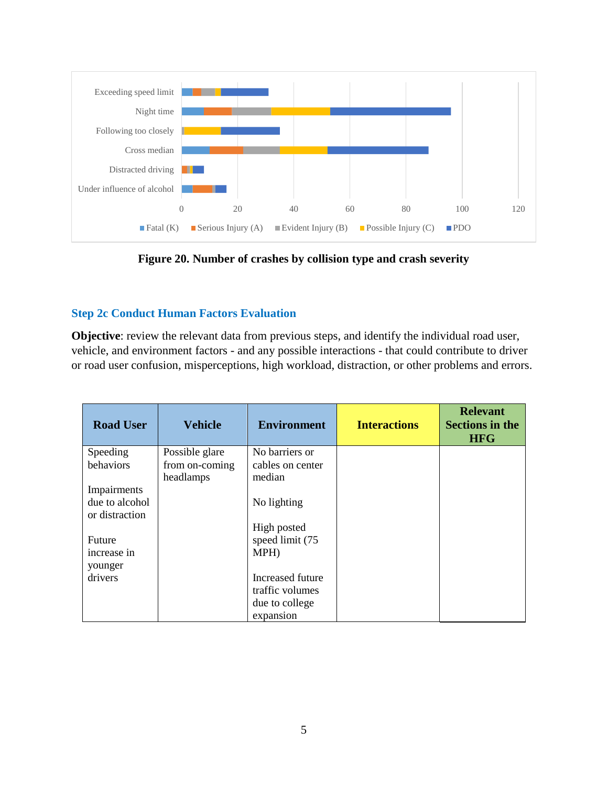

**Figure 20. Number of crashes by collision type and crash severity**

## **Step 2c Conduct Human Factors Evaluation**

**Objective**: review the relevant data from previous steps, and identify the individual road user, vehicle, and environment factors - and any possible interactions - that could contribute to driver or road user confusion, misperceptions, high workload, distraction, or other problems and errors.

| <b>Road User</b> | <b>Vehicle</b>              | <b>Environment</b>         | <b>Interactions</b> | <b>Relevant</b><br><b>Sections in the</b><br><b>HFG</b> |
|------------------|-----------------------------|----------------------------|---------------------|---------------------------------------------------------|
| Speeding         | Possible glare              | No barriers or             |                     |                                                         |
| behaviors        | from on-coming<br>headlamps | cables on center<br>median |                     |                                                         |
| Impairments      |                             |                            |                     |                                                         |
| due to alcohol   |                             | No lighting                |                     |                                                         |
| or distraction   |                             |                            |                     |                                                         |
|                  |                             | High posted                |                     |                                                         |
| Future           |                             | speed limit (75            |                     |                                                         |
| increase in      |                             | MPH)                       |                     |                                                         |
| younger          |                             |                            |                     |                                                         |
| drivers          |                             | Increased future           |                     |                                                         |
|                  |                             | traffic volumes            |                     |                                                         |
|                  |                             | due to college             |                     |                                                         |
|                  |                             | expansion                  |                     |                                                         |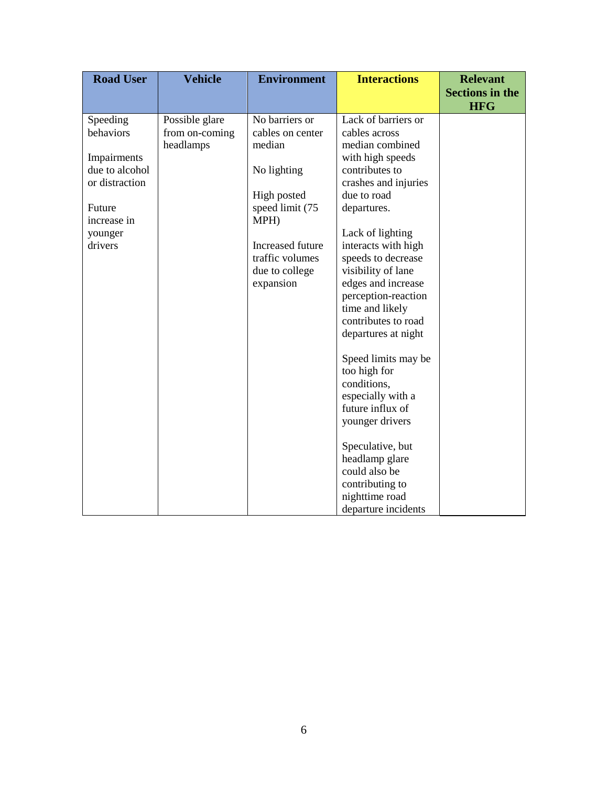| <b>Road User</b>                 | <b>Vehicle</b>                   | <b>Environment</b>                 | <b>Interactions</b>                       | <b>Relevant</b><br><b>Sections in the</b> |
|----------------------------------|----------------------------------|------------------------------------|-------------------------------------------|-------------------------------------------|
|                                  |                                  |                                    |                                           | <b>HFG</b>                                |
| Speeding<br>behaviors            | Possible glare<br>from on-coming | No barriers or<br>cables on center | Lack of barriers or<br>cables across      |                                           |
|                                  | headlamps                        | median                             | median combined                           |                                           |
| Impairments                      |                                  |                                    | with high speeds                          |                                           |
| due to alcohol<br>or distraction |                                  | No lighting                        | contributes to<br>crashes and injuries    |                                           |
|                                  |                                  | High posted                        | due to road                               |                                           |
| Future                           |                                  | speed limit (75                    | departures.                               |                                           |
| increase in                      |                                  | MPH)                               | Lack of lighting                          |                                           |
| younger<br>drivers               |                                  | Increased future                   | interacts with high                       |                                           |
|                                  |                                  | traffic volumes                    | speeds to decrease                        |                                           |
|                                  |                                  | due to college                     | visibility of lane                        |                                           |
|                                  |                                  | expansion                          | edges and increase<br>perception-reaction |                                           |
|                                  |                                  |                                    | time and likely                           |                                           |
|                                  |                                  |                                    | contributes to road                       |                                           |
|                                  |                                  |                                    | departures at night                       |                                           |
|                                  |                                  |                                    | Speed limits may be                       |                                           |
|                                  |                                  |                                    | too high for                              |                                           |
|                                  |                                  |                                    | conditions,                               |                                           |
|                                  |                                  |                                    | especially with a<br>future influx of     |                                           |
|                                  |                                  |                                    | younger drivers                           |                                           |
|                                  |                                  |                                    |                                           |                                           |
|                                  |                                  |                                    | Speculative, but<br>headlamp glare        |                                           |
|                                  |                                  |                                    | could also be                             |                                           |
|                                  |                                  |                                    | contributing to                           |                                           |
|                                  |                                  |                                    | nighttime road                            |                                           |
|                                  |                                  |                                    | departure incidents                       |                                           |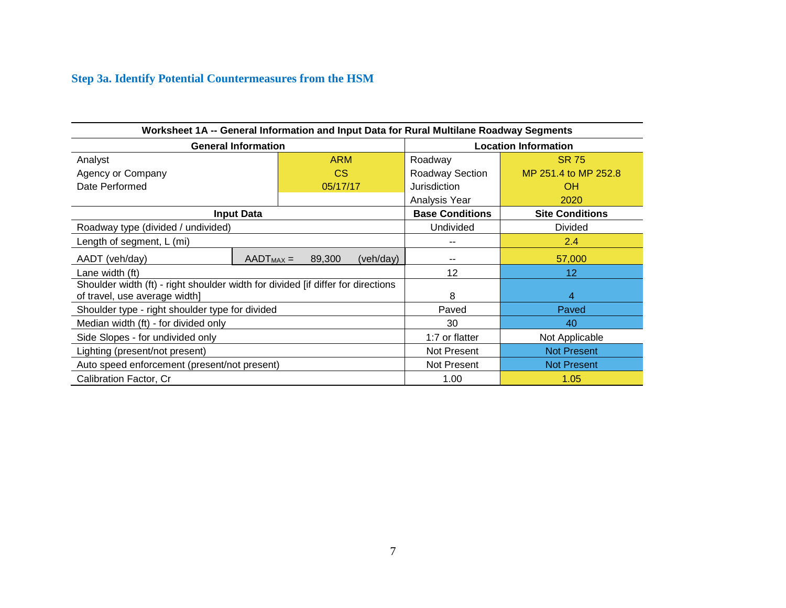## **Step 3a. Identify Potential Countermeasures from the HSM**

| Worksheet 1A -- General Information and Input Data for Rural Multilane Roadway Segments                           |                            |               |           |                             |                        |  |  |
|-------------------------------------------------------------------------------------------------------------------|----------------------------|---------------|-----------|-----------------------------|------------------------|--|--|
|                                                                                                                   | <b>General Information</b> |               |           | <b>Location Information</b> |                        |  |  |
| Analyst                                                                                                           | <b>ARM</b>                 |               |           | Roadway                     | <b>SR 75</b>           |  |  |
| Agency or Company                                                                                                 |                            | <sub>CS</sub> |           | Roadway Section             | MP 251.4 to MP 252.8   |  |  |
| Date Performed                                                                                                    |                            | 05/17/17      |           | Jurisdiction                | <b>OH</b>              |  |  |
|                                                                                                                   |                            |               |           | Analysis Year               | 2020                   |  |  |
|                                                                                                                   | <b>Input Data</b>          |               |           | <b>Base Conditions</b>      | <b>Site Conditions</b> |  |  |
| Roadway type (divided / undivided)                                                                                |                            |               |           | Undivided                   | <b>Divided</b>         |  |  |
| Length of segment, L (mi)                                                                                         |                            |               |           |                             | 2.4                    |  |  |
| AADT (veh/day)                                                                                                    | $AADT_{MAX} =$             | 89,300        | (veh/day) |                             | 57,000                 |  |  |
| Lane width (ft)                                                                                                   |                            |               |           | 12                          | 12 <sup>2</sup>        |  |  |
| Shoulder width (ft) - right shoulder width for divided [if differ for directions<br>of travel, use average width] |                            |               |           | 8                           | 4                      |  |  |
| Shoulder type - right shoulder type for divided                                                                   |                            |               |           | Paved                       | Paved                  |  |  |
| Median width (ft) - for divided only                                                                              |                            |               |           | 30                          | 40                     |  |  |
| Side Slopes - for undivided only                                                                                  |                            |               |           | 1:7 or flatter              | Not Applicable         |  |  |
| Lighting (present/not present)                                                                                    |                            |               |           | Not Present                 | <b>Not Present</b>     |  |  |
| Auto speed enforcement (present/not present)                                                                      |                            |               |           | Not Present                 | <b>Not Present</b>     |  |  |
| Calibration Factor, Cr                                                                                            |                            |               |           | 1.00                        | 1.05                   |  |  |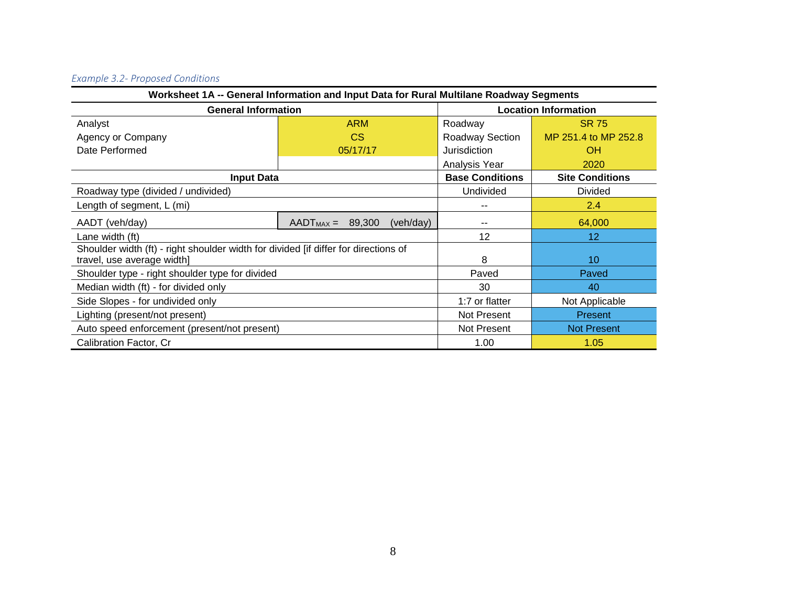# *Example 3.2- Proposed Conditions*

| Worksheet 1A -- General Information and Input Data for Rural Multilane Roadway Segments |                          |                    |                        |                             |  |  |  |
|-----------------------------------------------------------------------------------------|--------------------------|--------------------|------------------------|-----------------------------|--|--|--|
| <b>General Information</b>                                                              |                          |                    |                        | <b>Location Information</b> |  |  |  |
| Analyst                                                                                 | <b>ARM</b>               |                    | Roadway                | <b>SR 75</b>                |  |  |  |
| Agency or Company                                                                       | <b>CS</b>                |                    | Roadway Section        | MP 251.4 to MP 252.8        |  |  |  |
| Date Performed                                                                          | 05/17/17                 |                    | Jurisdiction           | <b>OH</b>                   |  |  |  |
|                                                                                         |                          |                    | Analysis Year          | 2020                        |  |  |  |
| <b>Input Data</b>                                                                       |                          |                    | <b>Base Conditions</b> | <b>Site Conditions</b>      |  |  |  |
| Roadway type (divided / undivided)                                                      |                          |                    | Undivided              | <b>Divided</b>              |  |  |  |
| Length of segment, L (mi)                                                               |                          |                    | $-$                    | 2.4                         |  |  |  |
| AADT (veh/day)                                                                          | $AADT_{MAX} =$<br>89,300 | (veh/day)          | --                     | 64,000                      |  |  |  |
| Lane width (ft)                                                                         |                          |                    | 12                     | 12 <sub>2</sub>             |  |  |  |
| Shoulder width (ft) - right shoulder width for divided [if differ for directions of     |                          |                    |                        |                             |  |  |  |
| travel, use average width]                                                              |                          |                    | 8                      | 10                          |  |  |  |
| Shoulder type - right shoulder type for divided                                         |                          |                    | Paved                  | Paved                       |  |  |  |
| Median width (ft) - for divided only                                                    |                          |                    | 30                     | 40                          |  |  |  |
| Side Slopes - for undivided only                                                        | 1:7 or flatter           | Not Applicable     |                        |                             |  |  |  |
| Lighting (present/not present)                                                          | Not Present              | <b>Present</b>     |                        |                             |  |  |  |
| Auto speed enforcement (present/not present)                                            | Not Present              | <b>Not Present</b> |                        |                             |  |  |  |
| Calibration Factor, Cr                                                                  |                          |                    | 1.00                   | 1.05                        |  |  |  |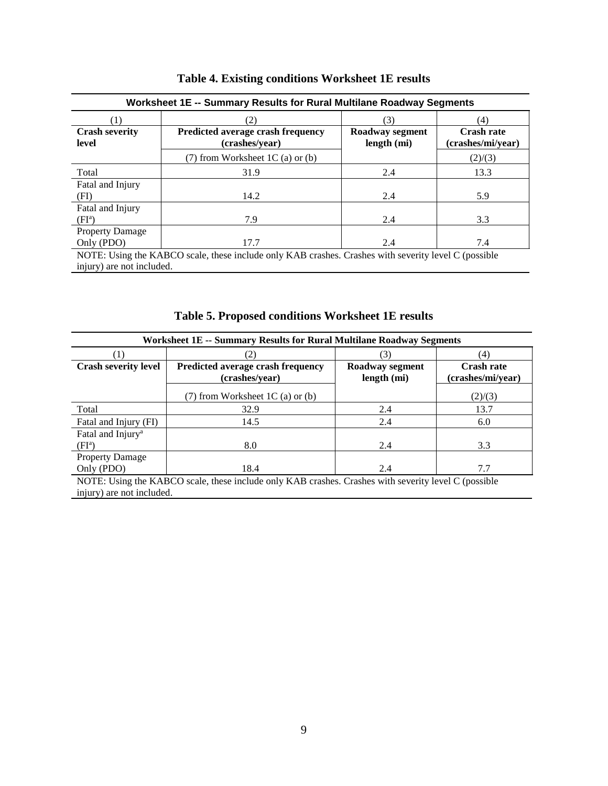| Worksheet 1E -- Summary Results for Rural Multilane Roadway Segments                                                              |                                                     |                                |                                        |  |  |  |  |
|-----------------------------------------------------------------------------------------------------------------------------------|-----------------------------------------------------|--------------------------------|----------------------------------------|--|--|--|--|
|                                                                                                                                   | 2)                                                  | (4)                            |                                        |  |  |  |  |
| <b>Crash severity</b><br>level                                                                                                    | Predicted average crash frequency<br>(crashes/year) | Roadway segment<br>length (mi) | <b>Crash rate</b><br>(crashes/mi/year) |  |  |  |  |
|                                                                                                                                   | $(7)$ from Worksheet 1C (a) or (b)                  |                                | (2)/(3)                                |  |  |  |  |
| Total                                                                                                                             | 31.9                                                | 2.4                            | 13.3                                   |  |  |  |  |
| Fatal and Injury<br>(FI)                                                                                                          | 14.2                                                | 2.4                            | 5.9                                    |  |  |  |  |
| Fatal and Injury<br>$(FI^a)$                                                                                                      | 7.9                                                 | 2.4                            | 3.3                                    |  |  |  |  |
| <b>Property Damage</b><br>Only (PDO)                                                                                              | 17.7                                                | 2.4                            | 7.4                                    |  |  |  |  |
| NOTE: Using the KABCO scale, these include only KAB crashes. Crashes with severity level C (possible<br>injury) are not included. |                                                     |                                |                                        |  |  |  |  |

|  |  |  | Table 4. Existing conditions Worksheet 1E results |  |  |
|--|--|--|---------------------------------------------------|--|--|
|--|--|--|---------------------------------------------------|--|--|

**Table 5. Proposed conditions Worksheet 1E results**

| <b>Worksheet 1E -- Summary Results for Rural Multilane Roadway Segments</b> |                                                                                                      |                 |                   |  |  |  |  |  |
|-----------------------------------------------------------------------------|------------------------------------------------------------------------------------------------------|-----------------|-------------------|--|--|--|--|--|
|                                                                             |                                                                                                      | (4)             |                   |  |  |  |  |  |
| <b>Crash severity level</b>                                                 | Predicted average crash frequency                                                                    | Roadway segment | <b>Crash rate</b> |  |  |  |  |  |
|                                                                             | (crashes/year)                                                                                       | length (mi)     | (crashes/mi/year) |  |  |  |  |  |
|                                                                             | $(7)$ from Worksheet 1C (a) or (b)                                                                   |                 | (2)/(3)           |  |  |  |  |  |
| Total                                                                       | 32.9                                                                                                 | 2.4             | 13.7              |  |  |  |  |  |
| Fatal and Injury (FI)                                                       | 14.5                                                                                                 | 2.4             | 6.0               |  |  |  |  |  |
| Fatal and Injury <sup>a</sup>                                               |                                                                                                      |                 |                   |  |  |  |  |  |
| $(FI^a)$                                                                    | 8.0                                                                                                  | 2.4             | 3.3               |  |  |  |  |  |
| <b>Property Damage</b>                                                      |                                                                                                      |                 |                   |  |  |  |  |  |
| Only (PDO)                                                                  | 18.4                                                                                                 | 2.4             | 7.7               |  |  |  |  |  |
|                                                                             | NOTE: Using the KABCO scale, these include only KAB crashes. Crashes with severity level C (possible |                 |                   |  |  |  |  |  |

injury) are not included.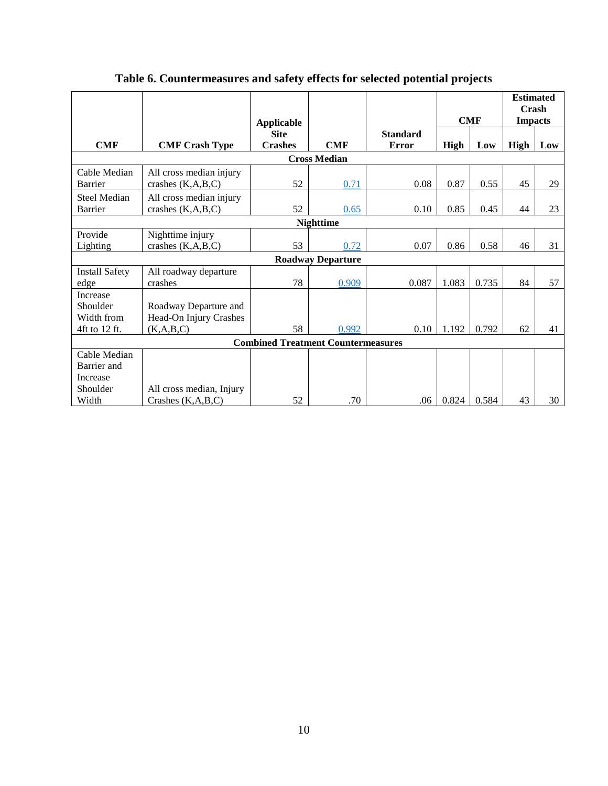|                                                     |                                                   | <b>Applicable</b>             |                          |                                 |       | <b>CMF</b> |      | <b>Estimated</b><br>Crash<br><b>Impacts</b> |
|-----------------------------------------------------|---------------------------------------------------|-------------------------------|--------------------------|---------------------------------|-------|------------|------|---------------------------------------------|
| <b>CMF</b>                                          | <b>CMF Crash Type</b>                             | <b>Site</b><br><b>Crashes</b> | <b>CMF</b>               | <b>Standard</b><br><b>Error</b> | High  | Low        | High | Low                                         |
|                                                     |                                                   |                               | <b>Cross Median</b>      |                                 |       |            |      |                                             |
| Cable Median<br><b>Barrier</b>                      | All cross median injury<br>crashes (K,A,B,C)      | 52                            | 0.71                     | 0.08                            | 0.87  | 0.55       | 45   | 29                                          |
| <b>Steel Median</b><br>Barrier                      | All cross median injury<br>crashes $(K, A, B, C)$ | 52                            | 0.65                     | 0.10                            | 0.85  | 0.45       | 44   | 23                                          |
|                                                     |                                                   |                               | <b>Nighttime</b>         |                                 |       |            |      |                                             |
| Provide<br>Lighting                                 | Nighttime injury<br>crashes $(K, A, B, C)$        | 53                            | 0.72                     | 0.07                            | 0.86  | 0.58       | 46   | 31                                          |
|                                                     |                                                   |                               | <b>Roadway Departure</b> |                                 |       |            |      |                                             |
| <b>Install Safety</b><br>edge                       | All roadway departure<br>crashes                  | 78                            | 0.909                    | 0.087                           | 1.083 | 0.735      | 84   | 57                                          |
| Increase<br>Shoulder<br>Width from                  | Roadway Departure and<br>Head-On Injury Crashes   |                               |                          |                                 |       |            |      |                                             |
| 4ft to 12 ft.                                       | (K, A, B, C)                                      | 58                            | 0.992                    | 0.10                            | 1.192 | 0.792      | 62   | 41                                          |
| <b>Combined Treatment Countermeasures</b>           |                                                   |                               |                          |                                 |       |            |      |                                             |
| Cable Median<br>Barrier and<br>Increase<br>Shoulder | All cross median, Injury                          |                               |                          |                                 |       |            |      |                                             |
| Width                                               | Crashes $(K, A, B, C)$                            | 52                            | .70                      | .06                             | 0.824 | 0.584      | 43   | 30                                          |

## **Table 6. Countermeasures and safety effects for selected potential projects**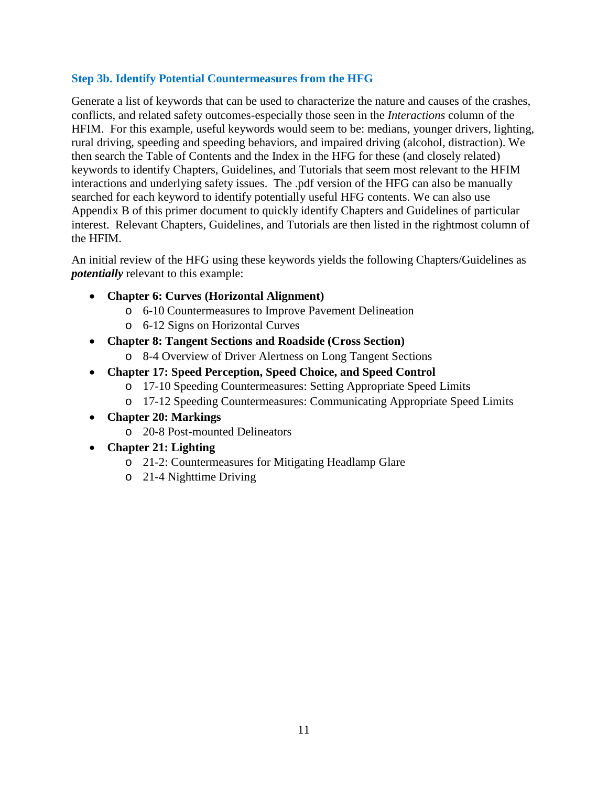## **Step 3b. Identify Potential Countermeasures from the HFG**

Generate a list of keywords that can be used to characterize the nature and causes of the crashes, conflicts, and related safety outcomes-especially those seen in the *Interactions* column of the HFIM. For this example, useful keywords would seem to be: medians, younger drivers, lighting, rural driving, speeding and speeding behaviors, and impaired driving (alcohol, distraction). We then search the Table of Contents and the Index in the HFG for these (and closely related) keywords to identify Chapters, Guidelines, and Tutorials that seem most relevant to the HFIM interactions and underlying safety issues. The .pdf version of the HFG can also be manually searched for each keyword to identify potentially useful HFG contents. We can also use Appendix B of this primer document to quickly identify Chapters and Guidelines of particular interest. Relevant Chapters, Guidelines, and Tutorials are then listed in the rightmost column of the HFIM.

An initial review of the HFG using these keywords yields the following Chapters/Guidelines as *potentially* relevant to this example:

- **Chapter 6: Curves (Horizontal Alignment)**
	- o 6-10 Countermeasures to Improve Pavement Delineation
	- o 6-12 Signs on Horizontal Curves
- **Chapter 8: Tangent Sections and Roadside (Cross Section)**
	- o 8-4 Overview of Driver Alertness on Long Tangent Sections
- **Chapter 17: Speed Perception, Speed Choice, and Speed Control**
	- o 17-10 Speeding Countermeasures: Setting Appropriate Speed Limits
	- o 17-12 Speeding Countermeasures: Communicating Appropriate Speed Limits
- **Chapter 20: Markings**
	- o 20-8 Post-mounted Delineators
- **Chapter 21: Lighting**
	- o 21-2: Countermeasures for Mitigating Headlamp Glare
	- o 21-4 Nighttime Driving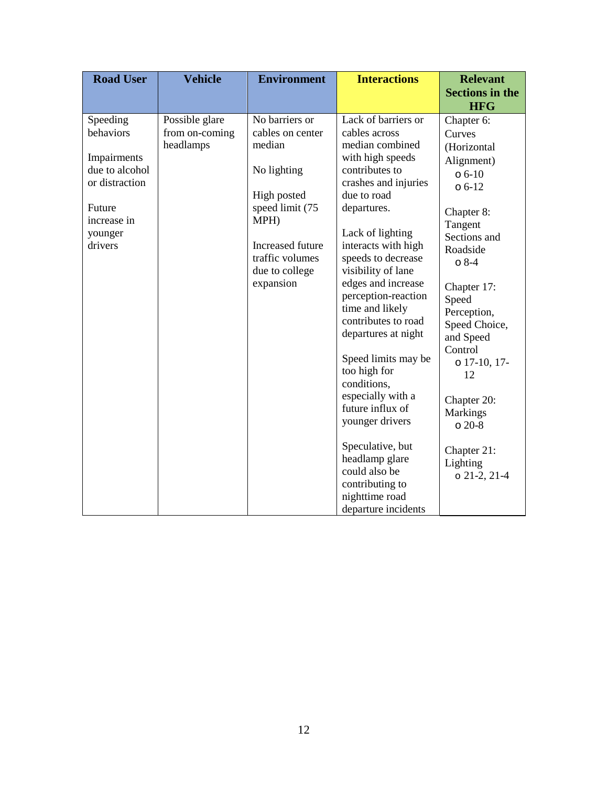| <b>Road User</b>                                                                                                        | <b>Vehicle</b>                                | <b>Environment</b>                                                                                                                                                          | <b>Interactions</b>                                                                                                                                                                                                                                                                                                                                                                                                                                                                                                                                                                           | <b>Relevant</b><br><b>Sections in the</b>                                                                                                                                                                                                                                                                                                             |
|-------------------------------------------------------------------------------------------------------------------------|-----------------------------------------------|-----------------------------------------------------------------------------------------------------------------------------------------------------------------------------|-----------------------------------------------------------------------------------------------------------------------------------------------------------------------------------------------------------------------------------------------------------------------------------------------------------------------------------------------------------------------------------------------------------------------------------------------------------------------------------------------------------------------------------------------------------------------------------------------|-------------------------------------------------------------------------------------------------------------------------------------------------------------------------------------------------------------------------------------------------------------------------------------------------------------------------------------------------------|
| Speeding<br>behaviors<br>Impairments<br>due to alcohol<br>or distraction<br>Future<br>increase in<br>younger<br>drivers | Possible glare<br>from on-coming<br>headlamps | No barriers or<br>cables on center<br>median<br>No lighting<br>High posted<br>speed limit (75<br>MPH)<br>Increased future<br>traffic volumes<br>due to college<br>expansion | Lack of barriers or<br>cables across<br>median combined<br>with high speeds<br>contributes to<br>crashes and injuries<br>due to road<br>departures.<br>Lack of lighting<br>interacts with high<br>speeds to decrease<br>visibility of lane<br>edges and increase<br>perception-reaction<br>time and likely<br>contributes to road<br>departures at night<br>Speed limits may be<br>too high for<br>conditions,<br>especially with a<br>future influx of<br>younger drivers<br>Speculative, but<br>headlamp glare<br>could also be<br>contributing to<br>nighttime road<br>departure incidents | <b>HFG</b><br>Chapter 6:<br>Curves<br>(Horizontal<br>Alignment)<br>$06-10$<br>$06-12$<br>Chapter 8:<br>Tangent<br>Sections and<br>Roadside<br>$08-4$<br>Chapter 17:<br>Speed<br>Perception,<br>Speed Choice,<br>and Speed<br>Control<br>$0$ 17-10, 17-<br>12<br>Chapter 20:<br><b>Markings</b><br>$020-8$<br>Chapter 21:<br>Lighting<br>$021-2, 21-4$ |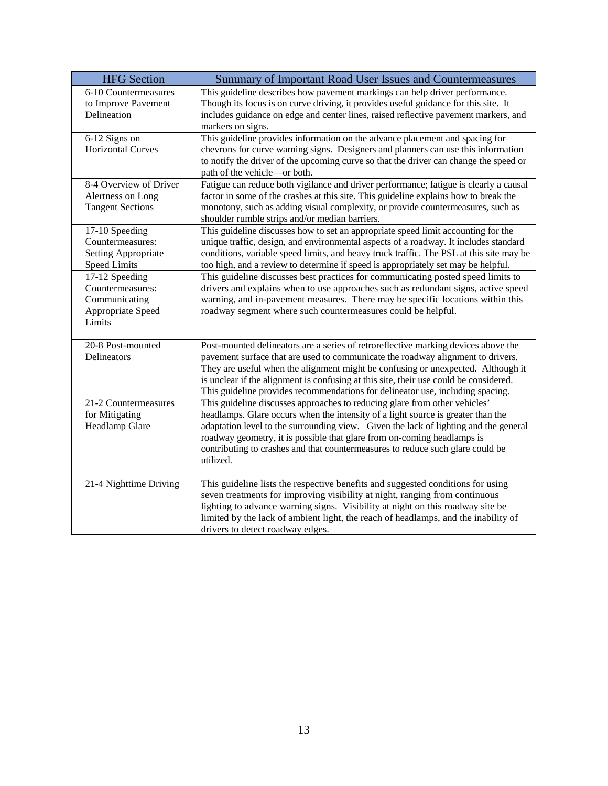| <b>HFG</b> Section         | Summary of Important Road User Issues and Countermeasures                                                                                                                     |  |
|----------------------------|-------------------------------------------------------------------------------------------------------------------------------------------------------------------------------|--|
| 6-10 Countermeasures       | This guideline describes how pavement markings can help driver performance.                                                                                                   |  |
| to Improve Pavement        | Though its focus is on curve driving, it provides useful guidance for this site. It                                                                                           |  |
| Delineation                | includes guidance on edge and center lines, raised reflective pavement markers, and                                                                                           |  |
|                            | markers on signs.                                                                                                                                                             |  |
| 6-12 Signs on              | This guideline provides information on the advance placement and spacing for                                                                                                  |  |
| <b>Horizontal Curves</b>   | chevrons for curve warning signs. Designers and planners can use this information                                                                                             |  |
|                            | to notify the driver of the upcoming curve so that the driver can change the speed or                                                                                         |  |
| 8-4 Overview of Driver     | path of the vehicle-or both.                                                                                                                                                  |  |
|                            | Fatigue can reduce both vigilance and driver performance; fatigue is clearly a causal<br>factor in some of the crashes at this site. This guideline explains how to break the |  |
| Alertness on Long          |                                                                                                                                                                               |  |
| <b>Tangent Sections</b>    | monotony, such as adding visual complexity, or provide countermeasures, such as                                                                                               |  |
| 17-10 Speeding             | shoulder rumble strips and/or median barriers.<br>This guideline discusses how to set an appropriate speed limit accounting for the                                           |  |
| Countermeasures:           | unique traffic, design, and environmental aspects of a roadway. It includes standard                                                                                          |  |
| <b>Setting Appropriate</b> | conditions, variable speed limits, and heavy truck traffic. The PSL at this site may be                                                                                       |  |
| <b>Speed Limits</b>        | too high, and a review to determine if speed is appropriately set may be helpful.                                                                                             |  |
| 17-12 Speeding             | This guideline discusses best practices for communicating posted speed limits to                                                                                              |  |
| Countermeasures:           | drivers and explains when to use approaches such as redundant signs, active speed                                                                                             |  |
| Communicating              | warning, and in-pavement measures. There may be specific locations within this                                                                                                |  |
| Appropriate Speed          | roadway segment where such countermeasures could be helpful.                                                                                                                  |  |
| Limits                     |                                                                                                                                                                               |  |
|                            |                                                                                                                                                                               |  |
| 20-8 Post-mounted          | Post-mounted delineators are a series of retroreflective marking devices above the                                                                                            |  |
| Delineators                | pavement surface that are used to communicate the roadway alignment to drivers.                                                                                               |  |
|                            | They are useful when the alignment might be confusing or unexpected. Although it                                                                                              |  |
|                            | is unclear if the alignment is confusing at this site, their use could be considered.                                                                                         |  |
|                            | This guideline provides recommendations for delineator use, including spacing.                                                                                                |  |
| 21-2 Countermeasures       | This guideline discusses approaches to reducing glare from other vehicles'                                                                                                    |  |
| for Mitigating             | headlamps. Glare occurs when the intensity of a light source is greater than the                                                                                              |  |
| Headlamp Glare             | adaptation level to the surrounding view. Given the lack of lighting and the general                                                                                          |  |
|                            | roadway geometry, it is possible that glare from on-coming headlamps is                                                                                                       |  |
|                            | contributing to crashes and that countermeasures to reduce such glare could be                                                                                                |  |
|                            | utilized.                                                                                                                                                                     |  |
| 21-4 Nighttime Driving     | This guideline lists the respective benefits and suggested conditions for using                                                                                               |  |
|                            | seven treatments for improving visibility at night, ranging from continuous                                                                                                   |  |
|                            | lighting to advance warning signs. Visibility at night on this roadway site be                                                                                                |  |
|                            | limited by the lack of ambient light, the reach of headlamps, and the inability of                                                                                            |  |
|                            | drivers to detect roadway edges.                                                                                                                                              |  |